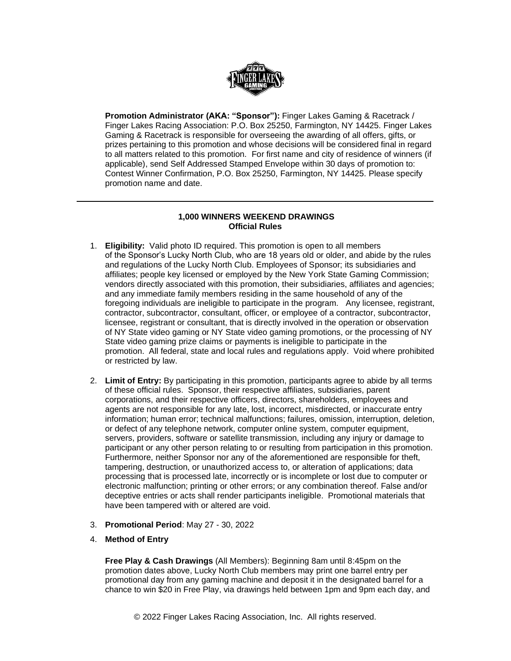

**Promotion Administrator (AKA: "Sponsor"):** Finger Lakes Gaming & Racetrack / Finger Lakes Racing Association: P.O. Box 25250, Farmington, NY 14425. Finger Lakes Gaming & Racetrack is responsible for overseeing the awarding of all offers, gifts, or prizes pertaining to this promotion and whose decisions will be considered final in regard to all matters related to this promotion. For first name and city of residence of winners (if applicable), send Self Addressed Stamped Envelope within 30 days of promotion to: Contest Winner Confirmation, P.O. Box 25250, Farmington, NY 14425. Please specify promotion name and date.

# **1,000 WINNERS WEEKEND DRAWINGS Official Rules**

- 1. **Eligibility:** Valid photo ID required. This promotion is open to all members of the Sponsor's Lucky North Club, who are 18 years old or older, and abide by the rules and regulations of the Lucky North Club. Employees of Sponsor; its subsidiaries and affiliates; people key licensed or employed by the New York State Gaming Commission; vendors directly associated with this promotion, their subsidiaries, affiliates and agencies; and any immediate family members residing in the same household of any of the foregoing individuals are ineligible to participate in the program. Any licensee, registrant, contractor, subcontractor, consultant, officer, or employee of a contractor, subcontractor, licensee, registrant or consultant, that is directly involved in the operation or observation of NY State video gaming or NY State video gaming promotions, or the processing of NY State video gaming prize claims or payments is ineligible to participate in the promotion. All federal, state and local rules and regulations apply. Void where prohibited or restricted by law.
- 2. **Limit of Entry:** By participating in this promotion, participants agree to abide by all terms of these official rules. Sponsor, their respective affiliates, subsidiaries, parent corporations, and their respective officers, directors, shareholders, employees and agents are not responsible for any late, lost, incorrect, misdirected, or inaccurate entry information; human error; technical malfunctions; failures, omission, interruption, deletion, or defect of any telephone network, computer online system, computer equipment, servers, providers, software or satellite transmission, including any injury or damage to participant or any other person relating to or resulting from participation in this promotion. Furthermore, neither Sponsor nor any of the aforementioned are responsible for theft, tampering, destruction, or unauthorized access to, or alteration of applications; data processing that is processed late, incorrectly or is incomplete or lost due to computer or electronic malfunction; printing or other errors; or any combination thereof. False and/or deceptive entries or acts shall render participants ineligible. Promotional materials that have been tampered with or altered are void.
- 3. **Promotional Period**: May 27 30, 2022
- 4. **Method of Entry**

**Free Play & Cash Drawings** (All Members): Beginning 8am until 8:45pm on the promotion dates above, Lucky North Club members may print one barrel entry per promotional day from any gaming machine and deposit it in the designated barrel for a chance to win \$20 in Free Play, via drawings held between 1pm and 9pm each day, and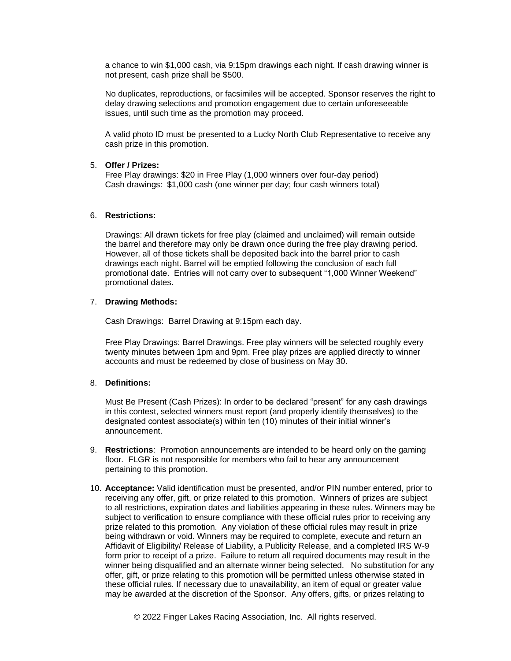a chance to win \$1,000 cash, via 9:15pm drawings each night. If cash drawing winner is not present, cash prize shall be \$500.

No duplicates, reproductions, or facsimiles will be accepted. Sponsor reserves the right to delay drawing selections and promotion engagement due to certain unforeseeable issues, until such time as the promotion may proceed.

A valid photo ID must be presented to a Lucky North Club Representative to receive any cash prize in this promotion.

# 5. **Offer / Prizes:**

Free Play drawings: \$20 in Free Play (1,000 winners over four-day period) Cash drawings: \$1,000 cash (one winner per day; four cash winners total)

# 6. **Restrictions:**

Drawings: All drawn tickets for free play (claimed and unclaimed) will remain outside the barrel and therefore may only be drawn once during the free play drawing period. However, all of those tickets shall be deposited back into the barrel prior to cash drawings each night. Barrel will be emptied following the conclusion of each full promotional date. Entries will not carry over to subsequent "1,000 Winner Weekend" promotional dates.

#### 7. **Drawing Methods:**

Cash Drawings: Barrel Drawing at 9:15pm each day.

Free Play Drawings: Barrel Drawings. Free play winners will be selected roughly every twenty minutes between 1pm and 9pm. Free play prizes are applied directly to winner accounts and must be redeemed by close of business on May 30.

# 8. **Definitions:**

Must Be Present (Cash Prizes): In order to be declared "present" for any cash drawings in this contest, selected winners must report (and properly identify themselves) to the designated contest associate(s) within ten (10) minutes of their initial winner's announcement.

- 9. **Restrictions**: Promotion announcements are intended to be heard only on the gaming floor. FLGR is not responsible for members who fail to hear any announcement pertaining to this promotion.
- 10. **Acceptance:** Valid identification must be presented, and/or PIN number entered, prior to receiving any offer, gift, or prize related to this promotion. Winners of prizes are subject to all restrictions, expiration dates and liabilities appearing in these rules. Winners may be subject to verification to ensure compliance with these official rules prior to receiving any prize related to this promotion. Any violation of these official rules may result in prize being withdrawn or void. Winners may be required to complete, execute and return an Affidavit of Eligibility/ Release of Liability, a Publicity Release, and a completed IRS W-9 form prior to receipt of a prize. Failure to return all required documents may result in the winner being disqualified and an alternate winner being selected. No substitution for any offer, gift, or prize relating to this promotion will be permitted unless otherwise stated in these official rules. If necessary due to unavailability, an item of equal or greater value may be awarded at the discretion of the Sponsor. Any offers, gifts, or prizes relating to